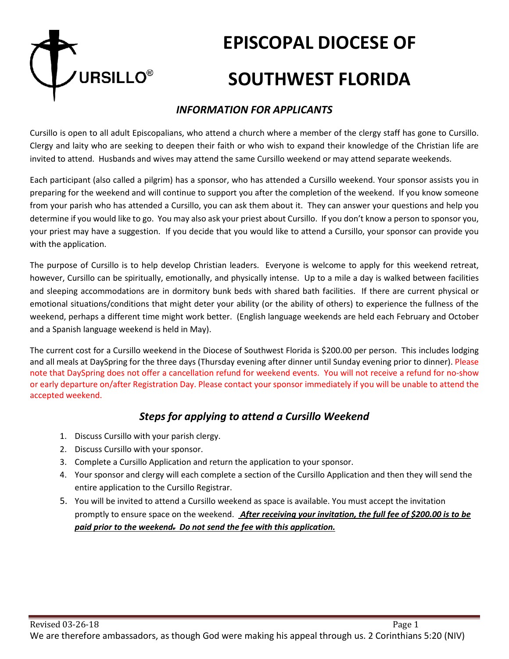

# **EPISCOPAL DIOCESE OF SOUTHWEST FLORIDA**

### *INFORMATION FOR APPLICANTS*

Cursillo is open to all adult Episcopalians, who attend a church where a member of the clergy staff has gone to Cursillo. Clergy and laity who are seeking to deepen their faith or who wish to expand their knowledge of the Christian life are invited to attend. Husbands and wives may attend the same Cursillo weekend or may attend separate weekends.

Each participant (also called a pilgrim) has a sponsor, who has attended a Cursillo weekend. Your sponsor assists you in preparing for the weekend and will continue to support you after the completion of the weekend. If you know someone from your parish who has attended a Cursillo, you can ask them about it. They can answer your questions and help you determine if you would like to go. You may also ask your priest about Cursillo. If you don't know a person to sponsor you, your priest may have a suggestion. If you decide that you would like to attend a Cursillo, your sponsor can provide you with the application.

The purpose of Cursillo is to help develop Christian leaders. Everyone is welcome to apply for this weekend retreat, however, Cursillo can be spiritually, emotionally, and physically intense. Up to a mile a day is walked between facilities and sleeping accommodations are in dormitory bunk beds with shared bath facilities. If there are current physical or emotional situations/conditions that might deter your ability (or the ability of others) to experience the fullness of the weekend, perhaps a different time might work better. (English language weekends are held each February and October and a Spanish language weekend is held in May).

The current cost for a Cursillo weekend in the Diocese of Southwest Florida is \$200.00 per person. This includes lodging and all meals at DaySpring for the three days (Thursday evening after dinner until Sunday evening prior to dinner). Please note that DaySpring does not offer a cancellation refund for weekend events. You will not receive a refund for no-show or early departure on/after Registration Day. Please contact your sponsor immediately if you will be unable to attend the accepted weekend.

## *Steps for applying to attend a Cursillo Weekend*

- 1. Discuss Cursillo with your parish clergy.
- 2. Discuss Cursillo with your sponsor.
- 3. Complete a Cursillo Application and return the application to your sponsor.
- 4. Your sponsor and clergy will each complete a section of the Cursillo Application and then they will send the entire application to the Cursillo Registrar.
- 5. You will be invited to attend a Cursillo weekend as space is available. You must accept the invitation promptly to ensure space on the weekend. *After receiving your invitation, the full fee of \$200.00 is to be paid prior to the weekend. Do not send the fee with this application.*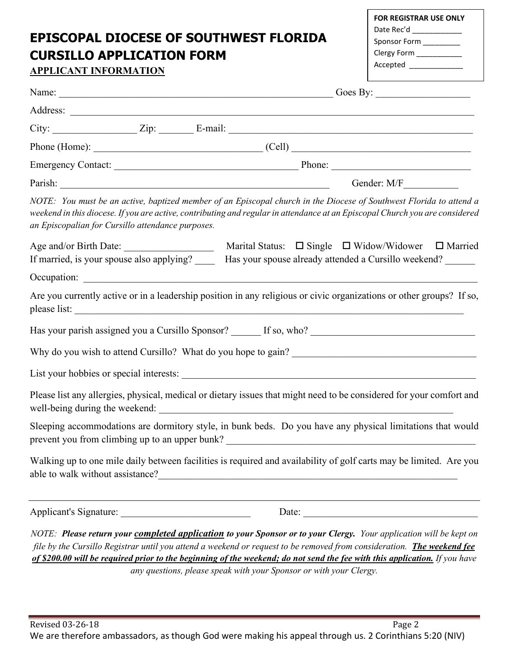# **EPISCOPAL DIOCESE OF SOUTHWEST FLORIDA CURSILLO APPLICATION FORM**

| <b>FOR REGISTRAR USE ONLY</b> |  |  |
|-------------------------------|--|--|
| Date Rec'd                    |  |  |
| Sponsor Form                  |  |  |
| Clergy Form                   |  |  |
| Accepted                      |  |  |
|                               |  |  |

| <b>APPLICANT INFORMATION</b>                      | Accepted and the second services of the series of the series of the series of the series of the series of the                                                                                                                                                                                                                                                                     |  |
|---------------------------------------------------|-----------------------------------------------------------------------------------------------------------------------------------------------------------------------------------------------------------------------------------------------------------------------------------------------------------------------------------------------------------------------------------|--|
| Goes By: $\qquad \qquad$                          |                                                                                                                                                                                                                                                                                                                                                                                   |  |
|                                                   |                                                                                                                                                                                                                                                                                                                                                                                   |  |
|                                                   |                                                                                                                                                                                                                                                                                                                                                                                   |  |
|                                                   | Phone (Home): $\qquad \qquad \qquad \qquad \qquad \qquad \qquad \qquad \qquad \qquad \text{(Cell)}$                                                                                                                                                                                                                                                                               |  |
|                                                   |                                                                                                                                                                                                                                                                                                                                                                                   |  |
|                                                   |                                                                                                                                                                                                                                                                                                                                                                                   |  |
| an Episcopalian for Cursillo attendance purposes. | NOTE: You must be an active, baptized member of an Episcopal church in the Diocese of Southwest Florida to attend a<br>weekend in this diocese. If you are active, contributing and regular in attendance at an Episcopal Church you are considered                                                                                                                               |  |
|                                                   | If married, is your spouse also applying? ______ Has your spouse already attended a Cursillo weekend? _______                                                                                                                                                                                                                                                                     |  |
|                                                   |                                                                                                                                                                                                                                                                                                                                                                                   |  |
|                                                   | Are you currently active or in a leadership position in any religious or civic organizations or other groups? If so,                                                                                                                                                                                                                                                              |  |
|                                                   |                                                                                                                                                                                                                                                                                                                                                                                   |  |
|                                                   |                                                                                                                                                                                                                                                                                                                                                                                   |  |
|                                                   |                                                                                                                                                                                                                                                                                                                                                                                   |  |
|                                                   | Please list any allergies, physical, medical or dietary issues that might need to be considered for your comfort and                                                                                                                                                                                                                                                              |  |
|                                                   | Sleeping accommodations are dormitory style, in bunk beds. Do you have any physical limitations that would<br>prevent you from climbing up to an upper bunk?                                                                                                                                                                                                                      |  |
| able to walk without assistance?                  | Walking up to one mile daily between facilities is required and availability of golf carts may be limited. Are you<br><u> 1980 - Johann John Stone, markin f</u>                                                                                                                                                                                                                  |  |
| Applicant's Signature:                            |                                                                                                                                                                                                                                                                                                                                                                                   |  |
|                                                   | NOTE: Please return your <i>completed application</i> to your Sponsor or to your Clergy. Your application will be kept on<br>file by the Cursillo Registrar until you attend a weekend or request to be removed from consideration. The weekend fee<br>of \$200.00 will be required prior to the beginning of the weekend; do not send the fee with this application. If you have |  |

*any questions, please speak with your Sponsor or with your Clergy.*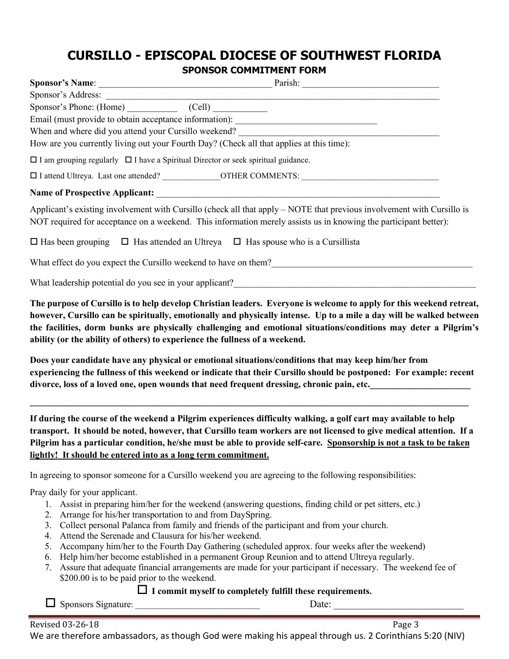## **CURSILLO - EPISCOPAL DIOCESE OF SOUTHWEST FLORIDA**

**SPONSOR COMMITMENT FORM**

| Sponsor's Phone: (Home) (Cell)                                                                                                                                                                                                               |  |  |  |  |
|----------------------------------------------------------------------------------------------------------------------------------------------------------------------------------------------------------------------------------------------|--|--|--|--|
| Email (must provide to obtain acceptance information): __________________________                                                                                                                                                            |  |  |  |  |
|                                                                                                                                                                                                                                              |  |  |  |  |
| How are you currently living out your Fourth Day? (Check all that applies at this time):                                                                                                                                                     |  |  |  |  |
| $\Box$ I am grouping regularly $\Box$ I have a Spiritual Director or seek spiritual guidance.                                                                                                                                                |  |  |  |  |
|                                                                                                                                                                                                                                              |  |  |  |  |
|                                                                                                                                                                                                                                              |  |  |  |  |
| Applicant's existing involvement with Cursillo (check all that apply $-$ NOTE that previous involvement with Cursillo is<br>NOT required for acceptance on a weekend. This information merely assists us in knowing the participant better): |  |  |  |  |
| $\Box$ Has been grouping $\Box$ Has attended an Ultreya $\Box$ Has spouse who is a Cursillista                                                                                                                                               |  |  |  |  |
| What effect do you expect the Cursillo weekend to have on them?<br><u>Letting</u> materially contained to the Cursin of the Cursin of the Cursin of the Cursin of the Cursin of the Cursin of the Cursin of the Cursin of the Cursin         |  |  |  |  |
| What leadership potential do you see in your applicant?                                                                                                                                                                                      |  |  |  |  |

**The purpose of Cursillo is to help develop Christian leaders. Everyone is welcome to apply for this weekend retreat, however, Cursillo can be spiritually, emotionally and physically intense. Up to a mile a day will be walked between the facilities, dorm bunks are physically challenging and emotional situations/conditions may deter a Pilgrim's ability (or the ability of others) to experience the fullness of a weekend.**

**Does your candidate have any physical or emotional situations/conditions that may keep him/her from experiencing the fullness of this weekend or indicate that their Cursillo should be postponed: For example: recent**  divorce, loss of a loved one, open wounds that need frequent dressing, chronic pain, etc.

**\_\_\_\_\_\_\_\_\_\_\_\_\_\_\_\_\_\_\_\_\_\_\_\_\_\_\_\_\_\_\_\_\_\_\_\_\_\_\_\_\_\_\_\_\_\_\_\_\_\_\_\_\_\_\_\_\_\_\_\_\_\_\_\_\_\_\_\_\_\_\_\_\_\_\_\_\_\_\_\_\_\_\_\_\_\_\_\_\_\_\_\_\_\_\_\_**

**If during the course of the weekend a Pilgrim experiences difficulty walking, a golf cart may available to help transport. It should be noted, however, that Cursillo team workers are not licensed to give medical attention. If a Pilgrim has a particular condition, he/she must be able to provide self-care. Sponsorship is not a task to be taken lightly! It should be entered into as a long term commitment.**

In agreeing to sponsor someone for a Cursillo weekend you are agreeing to the following responsibilities:

Pray daily for your applicant.

- 1. Assist in preparing him/her for the weekend (answering questions, finding child or pet sitters, etc.)
- 2. Arrange for his/her transportation to and from DaySpring.
- 3. Collect personal Palanca from family and friends of the participant and from your church.
- 4. Attend the Serenade and Clausura for his/her weekend.
- 5. Accompany him/her to the Fourth Day Gathering (scheduled approx. four weeks after the weekend)
- 6. Help him/her become established in a permanent Group Reunion and to attend Ultreya regularly.
- 7. Assure that adequate financial arrangements are made for your participant if necessary. The weekend fee of \$200.00 is to be paid prior to the weekend.

### **I commit myself to completely fulfill these requirements.**

 $\Box$  Sponsors Signature:  $\Box$  Date: